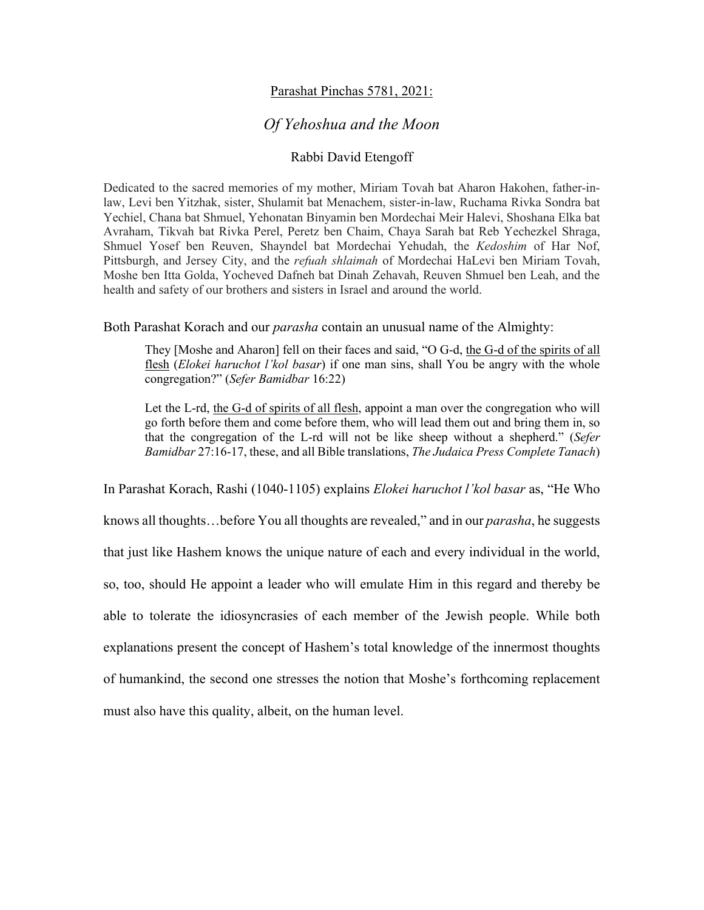## Parashat Pinchas 5781, 2021:

## *Of Yehoshua and the Moon*

## Rabbi David Etengoff

Dedicated to the sacred memories of my mother, Miriam Tovah bat Aharon Hakohen, father-inlaw, Levi ben Yitzhak, sister, Shulamit bat Menachem, sister-in-law, Ruchama Rivka Sondra bat Yechiel, Chana bat Shmuel, Yehonatan Binyamin ben Mordechai Meir Halevi, Shoshana Elka bat Avraham, Tikvah bat Rivka Perel, Peretz ben Chaim, Chaya Sarah bat Reb Yechezkel Shraga, Shmuel Yosef ben Reuven, Shayndel bat Mordechai Yehudah, the *Kedoshim* of Har Nof, Pittsburgh, and Jersey City, and the *refuah shlaimah* of Mordechai HaLevi ben Miriam Tovah, Moshe ben Itta Golda, Yocheved Dafneh bat Dinah Zehavah, Reuven Shmuel ben Leah, and the health and safety of our brothers and sisters in Israel and around the world.

## Both Parashat Korach and our *parasha* contain an unusual name of the Almighty:

They [Moshe and Aharon] fell on their faces and said, "O G-d, the G-d of the spirits of all flesh (*Elokei haruchot l'kol basar*) if one man sins, shall You be angry with the whole congregation?" (*Sefer Bamidbar* 16:22)

Let the L-rd, the G-d of spirits of all flesh, appoint a man over the congregation who will go forth before them and come before them, who will lead them out and bring them in, so that the congregation of the L-rd will not be like sheep without a shepherd." (*Sefer Bamidbar* 27:16-17, these, and all Bible translations, *The Judaica Press Complete Tanach*)

In Parashat Korach, Rashi (1040-1105) explains *Elokei haruchot l'kol basar* as, "He Who knows all thoughts…before You all thoughts are revealed," and in our *parasha*, he suggests that just like Hashem knows the unique nature of each and every individual in the world, so, too, should He appoint a leader who will emulate Him in this regard and thereby be able to tolerate the idiosyncrasies of each member of the Jewish people. While both explanations present the concept of Hashem's total knowledge of the innermost thoughts of humankind, the second one stresses the notion that Moshe's forthcoming replacement must also have this quality, albeit, on the human level.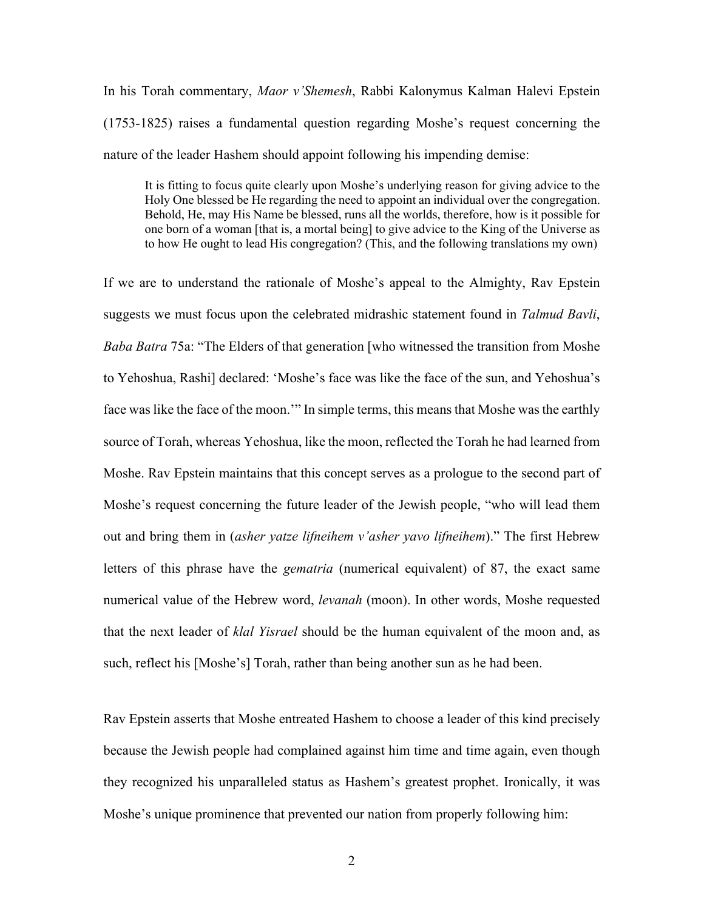In his Torah commentary, *Maor v'Shemesh*, Rabbi Kalonymus Kalman Halevi Epstein (1753-1825) raises a fundamental question regarding Moshe's request concerning the nature of the leader Hashem should appoint following his impending demise:

It is fitting to focus quite clearly upon Moshe's underlying reason for giving advice to the Holy One blessed be He regarding the need to appoint an individual over the congregation. Behold, He, may His Name be blessed, runs all the worlds, therefore, how is it possible for one born of a woman [that is, a mortal being] to give advice to the King of the Universe as to how He ought to lead His congregation? (This, and the following translations my own)

If we are to understand the rationale of Moshe's appeal to the Almighty, Rav Epstein suggests we must focus upon the celebrated midrashic statement found in *Talmud Bavli*, *Baba Batra* 75a: "The Elders of that generation [who witnessed the transition from Moshe to Yehoshua, Rashi] declared: 'Moshe's face was like the face of the sun, and Yehoshua's face was like the face of the moon.'" In simple terms, this means that Moshe was the earthly source of Torah, whereas Yehoshua, like the moon, reflected the Torah he had learned from Moshe. Rav Epstein maintains that this concept serves as a prologue to the second part of Moshe's request concerning the future leader of the Jewish people, "who will lead them out and bring them in (*asher yatze lifneihem v'asher yavo lifneihem*)." The first Hebrew letters of this phrase have the *gematria* (numerical equivalent) of 87, the exact same numerical value of the Hebrew word, *levanah* (moon). In other words, Moshe requested that the next leader of *klal Yisrael* should be the human equivalent of the moon and, as such, reflect his [Moshe's] Torah, rather than being another sun as he had been.

Rav Epstein asserts that Moshe entreated Hashem to choose a leader of this kind precisely because the Jewish people had complained against him time and time again, even though they recognized his unparalleled status as Hashem's greatest prophet. Ironically, it was Moshe's unique prominence that prevented our nation from properly following him: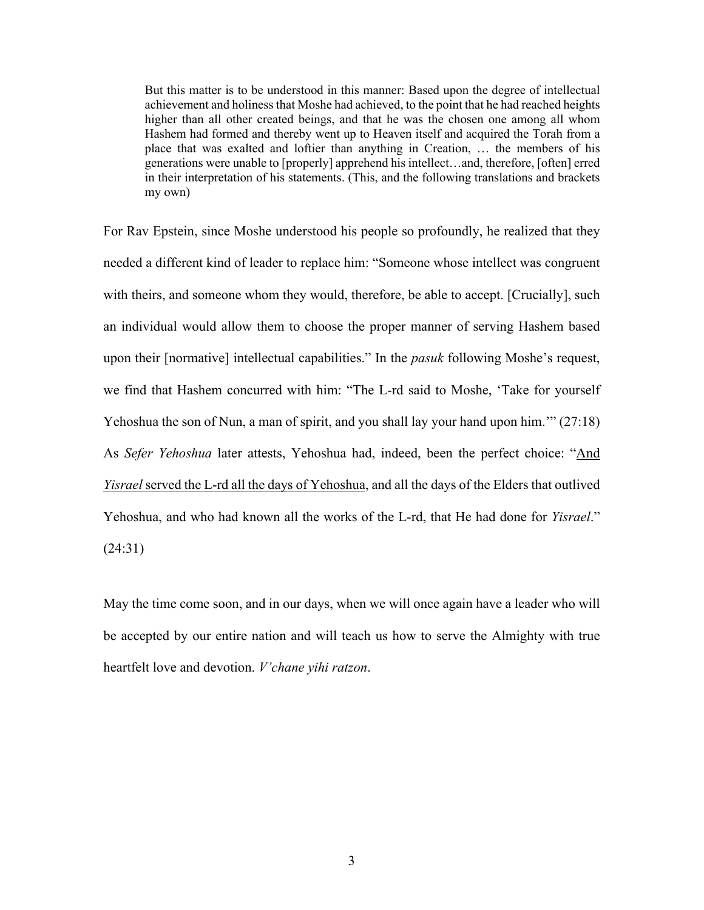But this matter is to be understood in this manner: Based upon the degree of intellectual achievement and holiness that Moshe had achieved, to the point that he had reached heights higher than all other created beings, and that he was the chosen one among all whom Hashem had formed and thereby went up to Heaven itself and acquired the Torah from a place that was exalted and loftier than anything in Creation, … the members of his generations were unable to [properly] apprehend his intellect…and, therefore, [often] erred in their interpretation of his statements. (This, and the following translations and brackets my own)

For Rav Epstein, since Moshe understood his people so profoundly, he realized that they needed a different kind of leader to replace him: "Someone whose intellect was congruent with theirs, and someone whom they would, therefore, be able to accept. [Crucially], such an individual would allow them to choose the proper manner of serving Hashem based upon their [normative] intellectual capabilities." In the *pasuk* following Moshe's request, we find that Hashem concurred with him: "The L-rd said to Moshe, 'Take for yourself Yehoshua the son of Nun, a man of spirit, and you shall lay your hand upon him.'" (27:18) As *Sefer Yehoshua* later attests, Yehoshua had, indeed, been the perfect choice: "And *Yisrael* served the L-rd all the days of Yehoshua, and all the days of the Elders that outlived Yehoshua, and who had known all the works of the L-rd, that He had done for *Yisrael*." (24:31)

May the time come soon, and in our days, when we will once again have a leader who will be accepted by our entire nation and will teach us how to serve the Almighty with true heartfelt love and devotion. *V'chane yihi ratzon*.